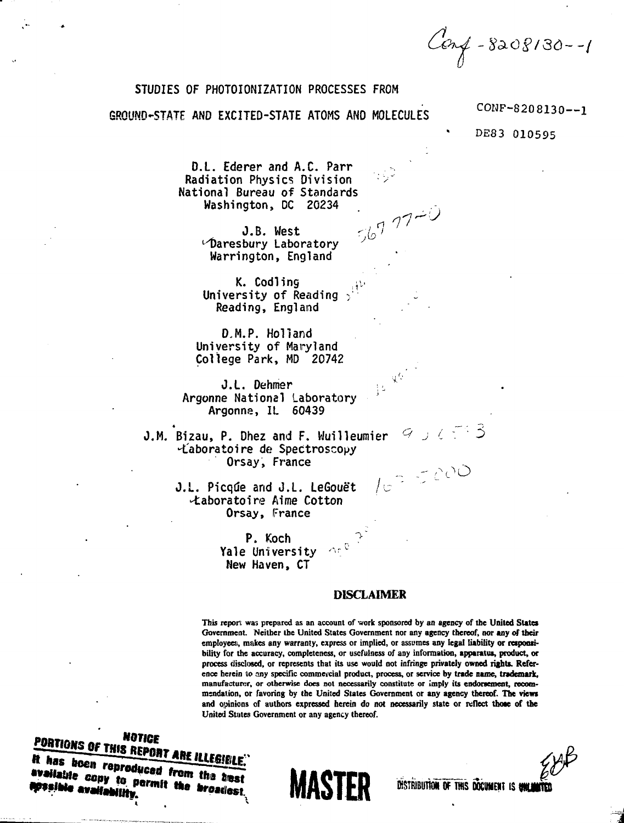Conf - 8208130--1

### STUDIES OF PHOTOIONIZATION PROCESSES FROM

GROUND-STATE AND EXCITED-STATE ATOMS AND MOLECULES

CONF-8208130--1

DE83 010595

D.L. Ederer and A.C. Parr Radiation Physics Division National Bureau of Standards Washington, DC 20234  $567,77 - 0$ 

J.B. West  $\nu$ Daresbury Laboratory Warrington, England

K. Codling University of Reading ^ Reading, England

D.M.P. Holland University of Maryland College Park, HD 20742

J.L. Dehmer ; " Argonne National Laboratory Argonna, It. 60439

J.M. Bizau, P. Dhez and F. Wuilleumier ^.'aboratoire de Spectroscopy Orsay, France  $10^{2}500$ 

J.L. Picque and J.L. LeGouët -taboratoire Aime Cotton Orsay, France

> **P. Koch Yale University New Haven, CT**

#### DISCLAIMER

?"

 $\mathfrak{g}^G$ 

This report was prepared as an account of work sponsored by an agency of the United States **Government. Neither the United States Government nor any agency thereof, nor any of tbeir employees, mnkes any warranty, express or implied, or assumes any legal liability or responsibility for the accuracy, completeness, or usefulness of any information, apparatus, product, or process disclosed, or represents that its use would not infringe privately owned rights. Reference herein to any specific commercial product, process, or service by trade name, trademark, manufacturer, or otherwise does not necessarily constitute or imply its endorsement, recommsndalion, or favoring by the United States Government or any agency thereof. The views and opinions of authors expressed herein do not necessarily state or reflect those of the United States Government or any agency thereof.**

**PORTIONS OF THIS REPORT ARE ILLEGIBLE.**<br>It has been reproduced to the **ILLEGIBLE**. **NOTICE** It has boen reproduced from the best<br>available copy to permit the broadest<br>apssible availability

**IIAOTrn**

**MSTRIBUTION OF THIS DOCUMENT IS WHENEVE**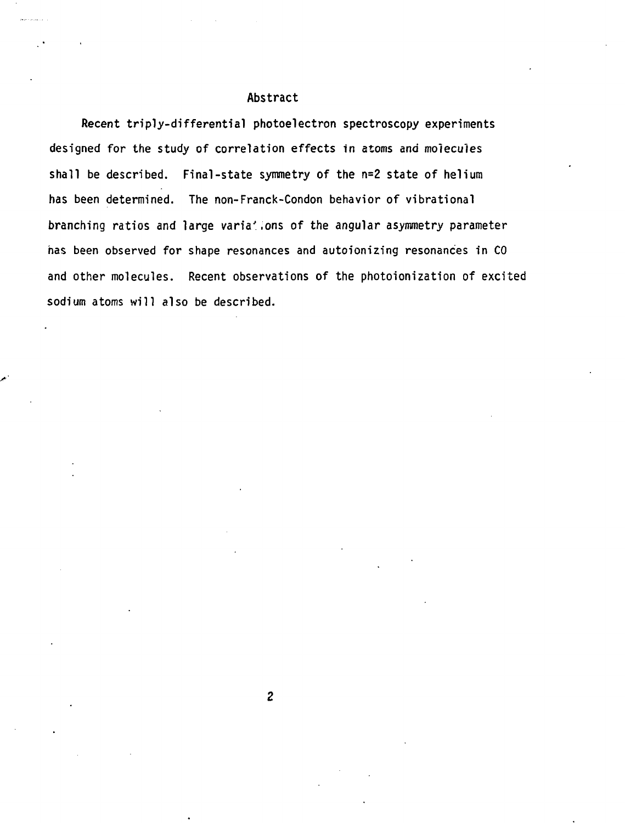## **Abstract**

**Recent triply-differential photoelectron spectroscopy experiments designed for the study of correlation effects in atoms and molecules shall be described. Final-state symmetry of the n=2 state of helium has been determined. The non-Franck-Condon behavior of vibrational branching ratios and large varia'.ons of the angular asymmetry parameter has been observed for shape resonances and autoionizing resonances in CO and other molecules. Recent observations of the photoionization of excited sodium atoms will also be described.**

 $\mathbf{2}$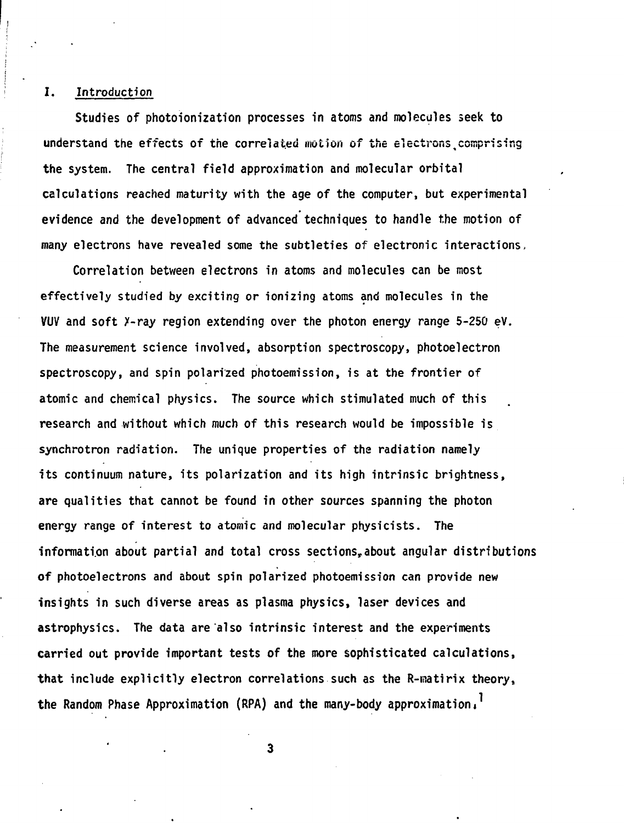# **I. Introduction**

**Studies of photoionization processes in atoms and molecules seek to understand the effects of the correlated motion of the electronstcomprising the system. The central field approximation and molecular orbital calculations reached maturity with the age of the computer, but experimental evidence and the development of advanced techniques to handle the motion of many electrons have revealed some the subtleties of electronic interactions,**

**Correlation between electrons in atoms and molecules can be most effectively studied by exciting or ionizing atoms and molecules in the VUV and soft X-ray region extending over the photon energy range 5-250 eV. The measurement science involved, absorption spectroscopy, photoelectron spectroscopy, and spin polarized photoemission, is at the frontier of atomic and chemical physics. The source which stimulated much of this research and without which much of this research would be impossible is synchrotron radiation. The unique properties of the radiation namely its continuum nature, its polarization and its high intrinsic brightness, are qualities that cannot be found in other sources spanning the photon energy range of interest to atomic and molecular physicists. The information about partial and total cross sections,about angular distributions of photoelectrons and about spin polarized photoemission can provide new insights in such diverse areas as plasma physics, laser devices and astrophysics. The data are also intrinsic interest and the experiments carried out provide important tests of the more sophisticated calculations, that include explicitly electron correlations such as the R-inatirix theory, the Random Phase Approximation (RPA) and the many-body approximation•**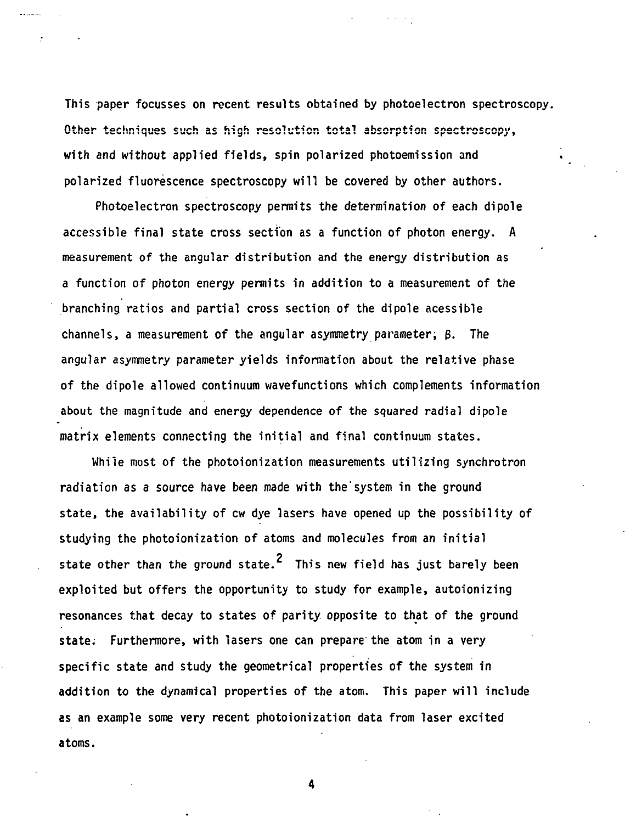**This paper focusses on recent results obtained by photoelectron spectroscopy. Other techniques such as high resolution total absorption spectroscope', with and without applied fields, spin polarized photoemission and polarized fluorescence spectroscopy will be covered by other authors.**

**Photoelectron spectroscopy permits the determination of each dipole accessible final state cross section as a function of photon energy. A measurement of the angular distribution and the energy distribution as a function of photon energy permits in addition to a measurement of the branching ratios and partial cross section of the dipole acessible channels, a measurement of the angular asymmetry parameter; \$. The angular asymmetry parameter yields information about the relative phase of the dipole allowed continuum wavefunctions which complements information about the magnitude and energy dependence of the squared radial dipole matrix elements connecting the initial and final continuum states.**

**While most of the photoionization measurements utilizing synchrotron radiation as a source have been made with the"system in the ground state, the availability of cw dye lasers have opened up the possibility of studying the photoionization of atoms and molecules from an initial 2 state other than the ground state. This new field has just barely been exploited but offers the opportunity to study for example, autoionizing resonances that decay to states of parity opposite to that of the ground state. Furthermore, with lasers one can prepare the atom in a very specific state and study the geometrical properties of the system in addition to the dynamical properties of the atom. This paper will include as an example some very recent photoionization data from laser excited atoms.**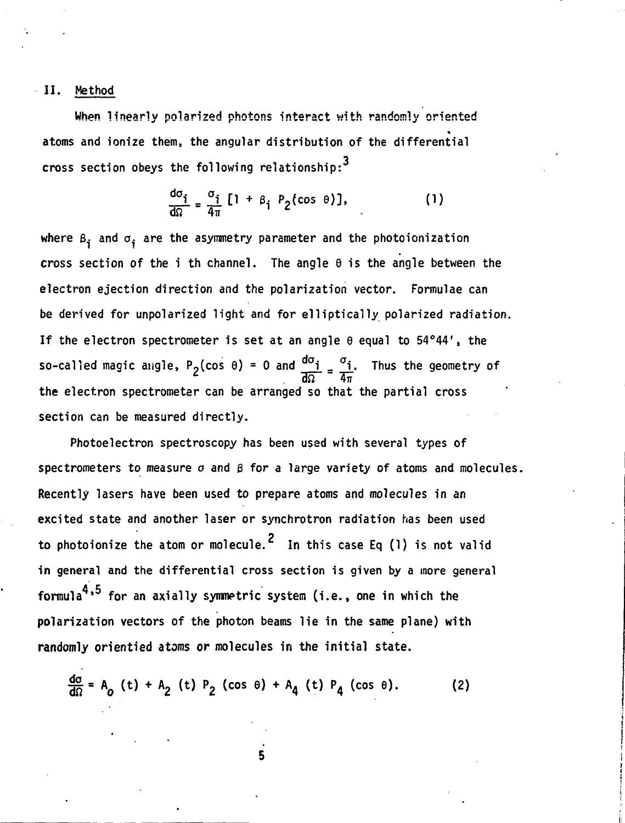### **II. Method**

**When linearly polarized photons interact with randomly oriented atoms and ionize them, the angular distribution of the differential cross section obeys the following relationship:**

$$
\frac{d\sigma_{\mathbf{i}}}{d\Omega} = \frac{\sigma_{\mathbf{i}}}{4\pi} \left[ 1 + \beta_{\mathbf{i}} P_2(\cos \theta) \right], \tag{1}
$$

where  $\beta_i$  and  $\sigma_i$  are the asymmetry parameter and the photoionization **cross section of the i th channel. The angle 8 is the angle between the electron ejection direction and the polarization vector. Formulae can be derived for unpolarized light and for elliptically polarized radiation. If the electron spectrometer is set at an angle 6 equal to 54°44', the**  $\text{so-called magic angle, } P_{2}(\cos \theta) = 0$  and  $\frac{d\sigma_{1}}{dt} = \frac{\sigma_{1}}{2}$ . Thus the geometry of **the electron spectrometer can be arranged so that the partial cross section can be measured directly.**

**Photoelectron spectroscopy has been used with several types of** spectrometers to measure  $\sigma$  and  $\beta$  for a large variety of atoms and molecules. **Recently lasers have been used to prepare atoms and molecules in an excited state and another laser or synchrotron radiation has been used o to photoionize the atom or molecule. In this case Eq (1) is not valid in general and the differential cross section is given by a more general formula ' for an axially symmetric system (i.e., one in which the polarization vectors of the photon beams lie in the same plane) with randomly orientied atoms or molecules in the initial state.**

$$
\frac{d\sigma}{d\Omega} = A_0 \quad (t) + A_2 \quad (t) P_2 \quad (\cos \theta) + A_4 \quad (t) P_4 \quad (\cos \theta). \tag{2}
$$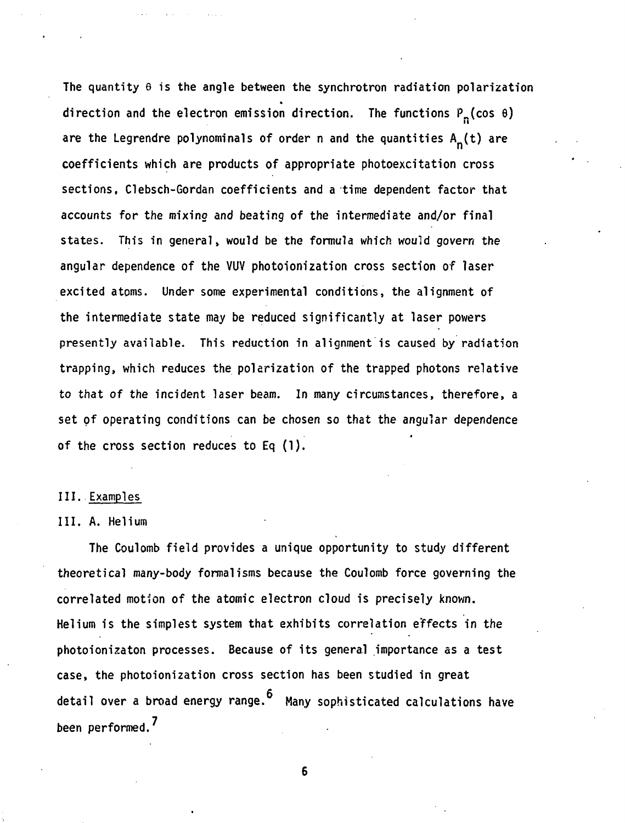**The quantity 8 is the angle between the synchrotron radiation polarization direction and the electron emission direction. The functions Pp(cos 6)** are the Legrendre polynominals of order n and the quantities A<sub>n</sub>(t) are **coefficients which are products of appropriate photoexcitation cross sections, Clebsch-Gordan coefficients and a time dependent factor that accounts for the mixing and beating of the intermediate and/or final states. This in general, would be the formula which would govern the angular dependence of the VUV photoionization cross section of laser excited atoms. Under some experimental conditions, the alignment of the intermediate state may be reduced significantly at laser powers presently available. This reduction in alignment is caused by radiation trapping, which reduces the polarization of the trapped photons relative to that of the incident laser beam. In many circumstances, therefore, a set of operating conditions can be chosen so that the angular dependence of the cross section reduces to Eq (1).**

# **III. Examples**

### **III. A. Helium**

**The Coulomb field provides a unique opportunity to study different theoretical many-body formalisms because the Coulomb force governing the correlated motion of the atomic electron cloud is precisely known. Helium is the simplest system that exhibits correlation effects in the photoionizaton processes. Because of its general importance as a test case, the photoionization cross section has been studied in great detail over a broad energy range. Many sophisticated calculations have been performed.**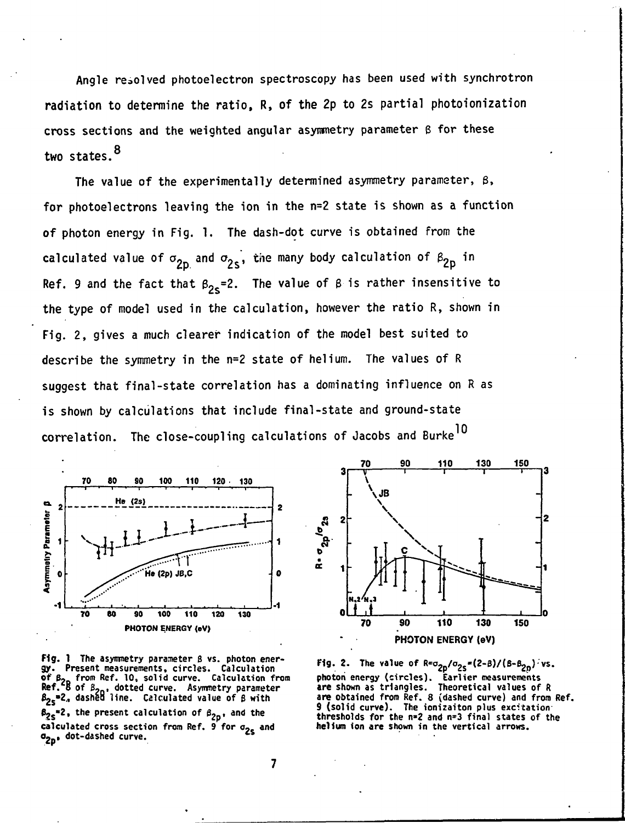**Angle resolved photoelectron spectroscopy has been used with synchrotron radiation to determine the ratio, R, of the 2p to 2s partial photoionization cross sections and the weighted angular asywnetry parameter g for these** Q **two states.**

**The value of the experimentally determined asymmetry parameter, 8, for photoelectrons leaving the ion in the n=2 state is shown as a function of photon energy in Fig. 1. The dash-dot curve is obtained from the** calculated value of  $\sigma_{2n}$  and  $\sigma_{2s}$ , the many body calculation of  $\beta_{2n}$  in Ref. 9 and the fact that  $\beta_{2s}^{\phantom{2}}$ =2. The value of **B** is rather insensitive **the type of model used in the calculation, however the ratio R, shown in Fig. 2, gives a much clearer indication of the model best suited to describe the symmetry in the n=2 state of helium. The values of R suggest that final-state correlation has a dominating influence on R as is shown by calculations that include final-state and ground-state 10 correlation. The close-coupling calculations of Jacobs and Burke**



**Fig.** 1 The asymnetry parameter S vs. photon energy. Present measurements, circles. Calculation of  $\beta_{2D}$  from Ref. 10, solid curve. Calculation from Ref.<sup>6</sup>8 of  $\beta_{2n}$ , dotted curve. Asymmetry parameter  $\beta_{2s}$ =2, dashed line. Calculated value of  $\beta$  with  $\beta_{2s}$  \*2, the present calculation of  $\beta_{2p}$ , and the calculated cross section from Ref. 9 for  $\sigma_{2e}$  and O<sub>2n</sub>, dot-dashed curve.



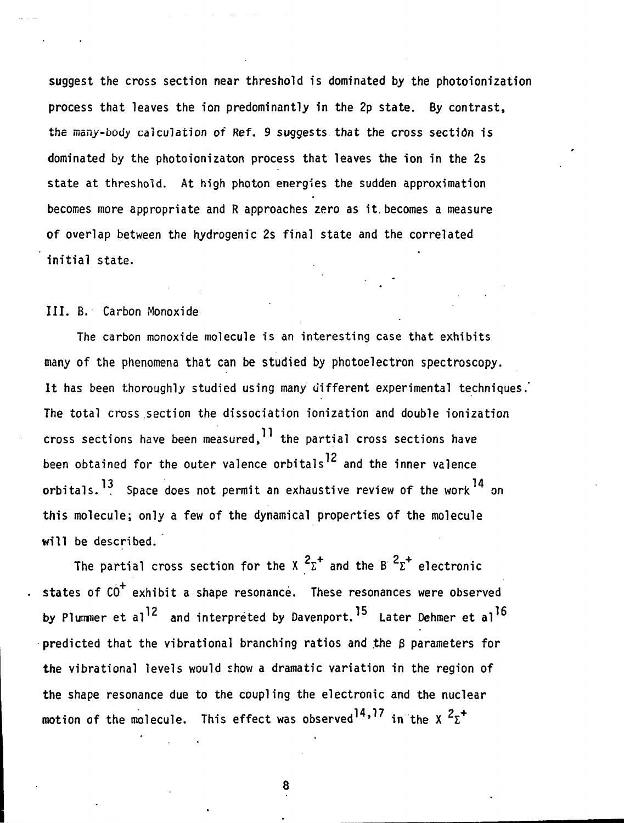**suggest the cross section near threshold is dominated by the photoionization process that leaves the ion predominantly in the 2p state. By contrast, the many-body calculation of Ref. 9 suggests that the cross sectidn is dominated by the photoionizaton process that leaves the ion in the 2s state at threshold. At high photon energies the sudden approximation becomes more appropriate and R approaches zero as it.becomes a measure of overlap between the hydrogenic 2s final state and the correlated initial state.**

## **III. B. Carbon Monoxide**

**The carbon monoxide molecule is an interesting case that exhibits many of the phenomena that can be studied by photoelectron spectroscopy. It has been thoroughly studied using many different experimental techniques.' The total cross section the dissociation ionization and double ionization cross sections have been measured, the partial cross sections have** been obtained for the outer valence orbitals<sup>12</sup> and the inner valence orbitals.<sup>13</sup> Space does not permit an exhaustive review of the work<sup>14</sup> on this molecule; only a few of the dynamical properties of the molecule will be described.

The partial cross section for the  $x^2\overline{z}^+$  and the  $B^2\overline{z}^+$  electronic 2 + 2 + **The partial cross section for the X Z and the B E electronic states of CO exhibit a shape resonance. These resonances were observed by Plummer et al and interpreted by Davenport. Later Dehmer et al predicted that the vibrational branching ratios and the 8 parameters for the vibrational levels would show a dramatic variation in the region of the shape resonance due to the coupling the electronic and the nuclear motion of the molecule. This effect was observed<sup>14</sup>' <sup>17</sup> in the X<sup>2</sup> Z +**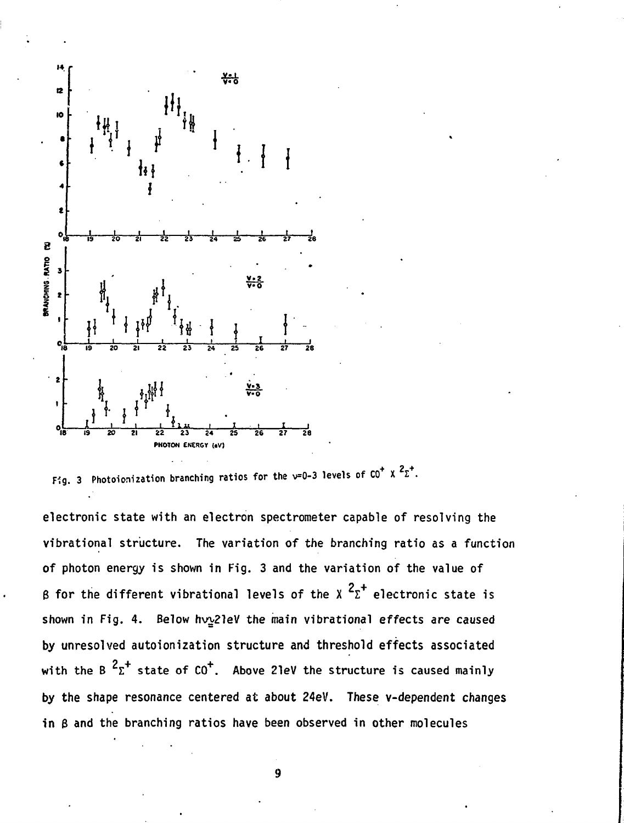

Fig. 3 Photoionization branching ratios for the **v=0-3 levels of CO** $^+$  **X**  $^2$ z $^+$ .

**electronic state with an electron spectrometer capable of resolving the vibrational structure. The variation of the branching ratio as a function of photon energy is shown in Fig. 3 and the variation of the value of**  $\beta$  for the different vibrational levels of the X  $2z^+$  electronic state is **shown in Fig. 4. Below hv^21eV the main vibrational effects are caused by unresolved autoionization structure and threshold effects associated 2 + + with the B z state of CO . Above 21eV the structure is caused mainly by the shape resonance centered at about 24eV. These v-dependent changes in 8 and the branching ratios have been observed in other molecules**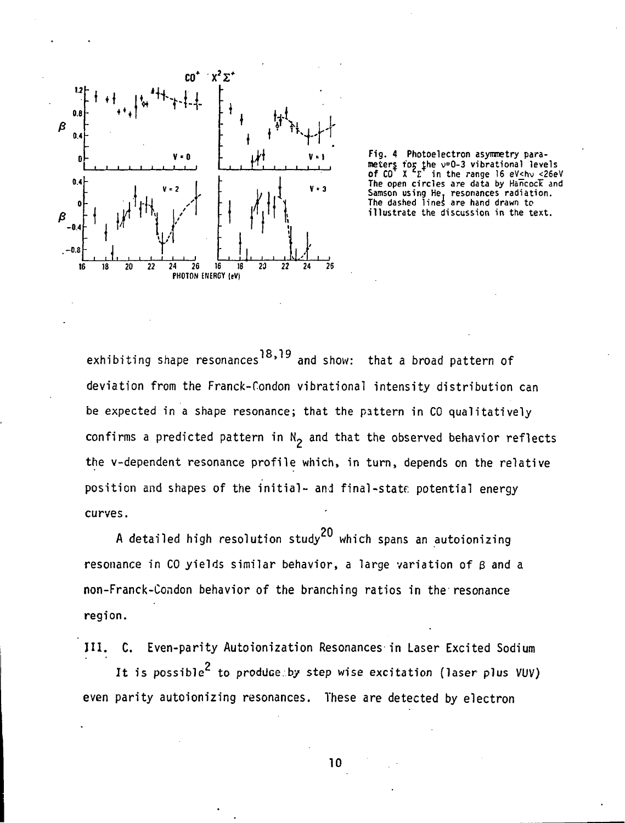

**Fig. 4 Photoelectron asymmetry parameters tor the v=0-3 vibrational levels of CO X<sup>c</sup>z in the range 16 eV<hv <26eV of CO<sup>T</sup> X <sup>2</sup>C<sup>T</sup> in the range 16 eV<hv <26eV<br>The open circles are data by HancocK and** Samson using He<sub>i</sub> resonances radiation.<br>The dashed lines are hand drawn to **illustrate the discussion in the text.**

exhibiting shape resonances<sup>18,19</sup> and show: that a broad pattern of deviation from the Franck-f-ondon vibrational intensity distribution can be expected in a shape resonance; that the pattern in CO qualitatively confirms a predicted pattern in  $N<sub>2</sub>$  and that the observed behavior reflects the v-dependent resonance profile which, in turn, depends on the relative position and shapes of the initial- and final-state potential energy curves.

**20 A detailed high resolution study which spans an autoionizing resonance in CO yields similar behavior, a large variation of 8 and a non-Franck-Condon behavior of the branching ratios in the resonance region.**

**III. C. Even-parity Autoionization Resonances in Laser Excited Sodium**

It is possible<sup>2</sup> to producesby step wise excitation (laser plus VUV) **even parity autoionizing resonances. These are detected by electron**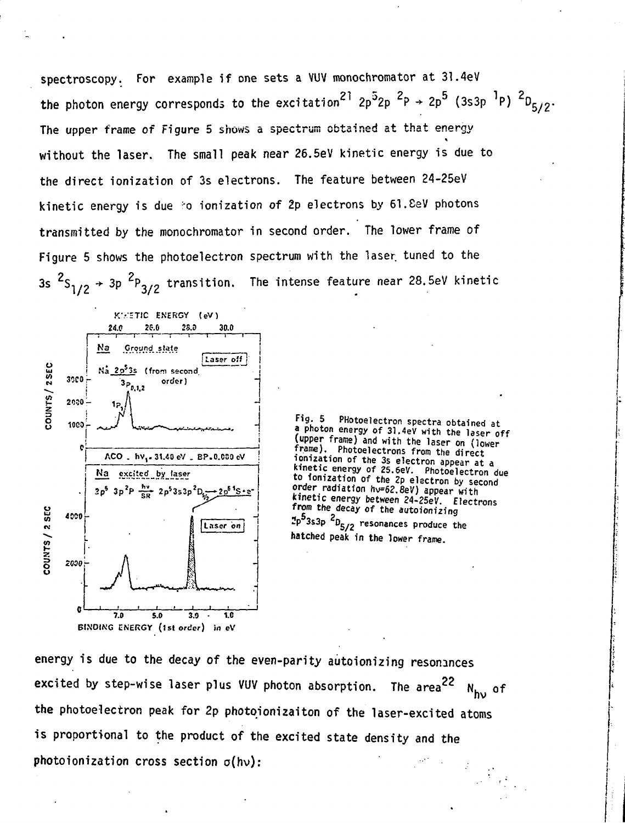**spectroscopy. For example if one sets a VUV monochromator at 31.4eV the photon energy corresponds to the excitation<sup>21</sup>**  $2p^52p^2P \rightarrow 2p^5$  **(3s3p<sup>1</sup>P)<sup>2</sup>D<sub>5/2</sub>. The upper frame of Figure 5 shows a spectrum obtained at that energy without the laser. The small peak near 26.5eV kinetic energy is due to the direct ionization of 3s electrons. The feature between 24-25eV kinetic energy is due -o ionization of 2p electrons by 61.SeV photons transmitted by the monochromator in second order. The lower frame of Figure 5 shows the photoelectron spectrum with the laser tuned to the**  $\frac{2s}{\lambda/2}$   $\rightarrow$  3p  $\frac{2p}{3/2}$  transition. The intense feature near 28.5eV kinetic





**energy is due to the decay of the even-parity autoionizing resonances excited by step-wise laser plus VUV photon absorption.** The area<sup>22</sup> N<sub>hv</sub> of **the photoelectron peak for 2p photoionizaiton of the laser-excited atoms is proportional to the product of the excited state density and the photoionization cross section o(hv):**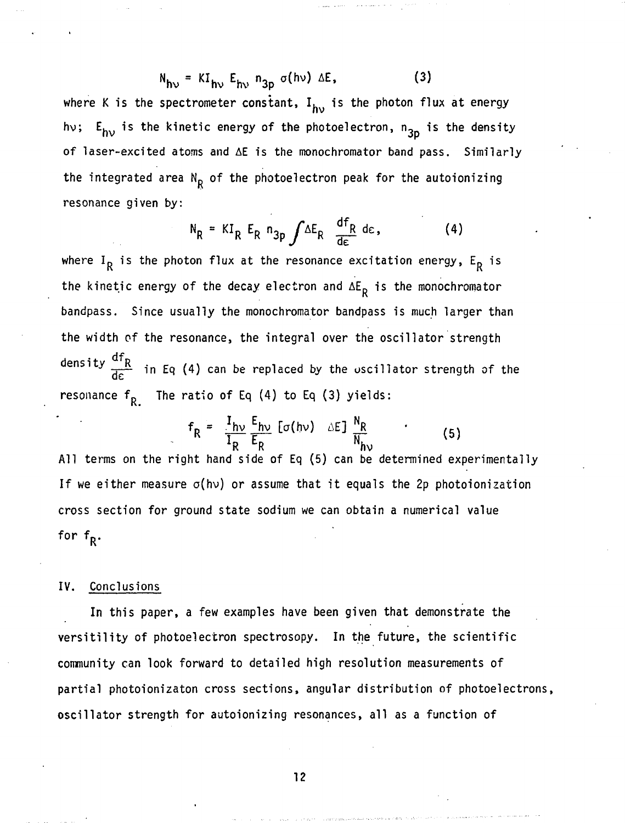$$
N_{hv} = Kl_{hv} h_{lv} n_{3p} \sigma(n\nu) \Delta E,
$$
\nwhere K is the spectrometer constant,  $I_{hv}$  is the photon flux at energy  
\nhy;  $E_{hv}$  is the kinetic energy of the photoelectron,  $n_{3p}$  is the density  
\nof laser-excited atoms and  $\Delta E$  is the monochromator band pass. Similarly  
\nthe integrated area  $N_R$  of the photoelectron peak for the autoinizing  
\nresonance given by:

$$
N_R = K I_R E_R n_{3p} \int \Delta E_R \frac{df_R}{d\epsilon} d\epsilon, \qquad (4)
$$

 $\overline{1}$ 

where  $I_R$  is the photon flux at the resonance excitation energy,  $E_R$  is the kinetic energy of the decay electron and  $\Delta E_R$  is the monochromator **bandpass. Since usually the monochromator bandpass is much larger than the width of the resonance, the integral over the oscillator strength enS1 ^ d — in Ec\* ^ can '3e re P ^ ace ^ by the oscillator strength of the resonance**  $f_R$  The ratio of Eq (4) to Eq (3) yields:

$$
f_R = \frac{I_{hv}}{I_R} \frac{E_{hv}}{E_R} \text{[o(hv)} \quad \text{aEJ } \frac{N_R}{N_{hv}} \tag{5}
$$

**All terms on the right hand side of Eq (5) can be determined experimentally If we either measure o(hv) or assume that it equals the 2p photoionization cross section for ground state sodium we can obtain a numerical value**

# **IV. Conclusions**

**forf<sup>R</sup> .**

K.

**In this paper, a few examples have been given that demonstrate the versitility of photoelectron spectrosopy. In the future, the scientific community can look forward to detailed high resolution measurements of partial photoionizaton cross sections, angular distribution of photoelectrons, oscillator strength for autoionizing resonances, all as a function of**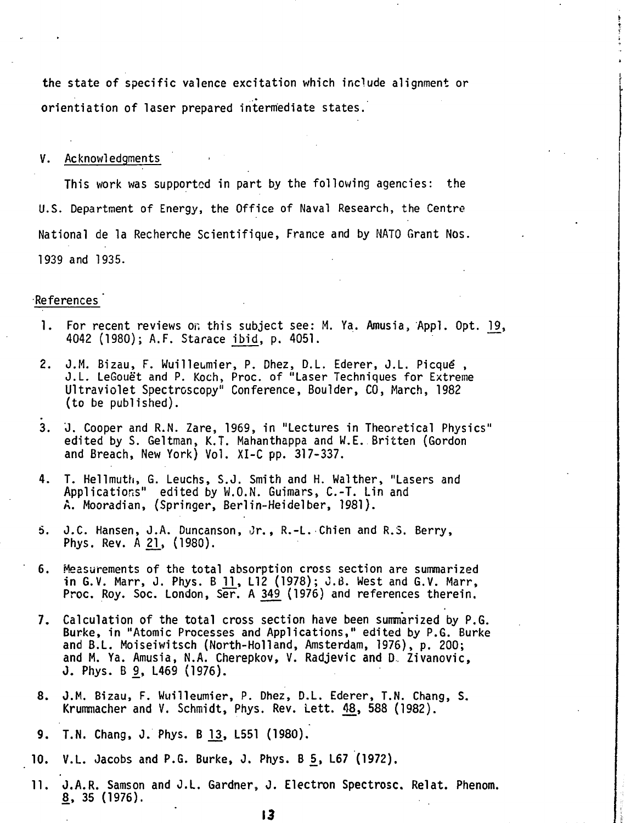**the state of specific valence excitation which include alignment or orientiation of laser prepared intermediate states.**

#### **V. Acknowledgments**

**This work was supported in part by the following agencies: the U.S. Department of Energy, the Office of Naval Research, the Centre National de la Recherche Scientifique, France and by NATO Grant Nos. 1939 and 1935.**

#### **References**

- 1. For recent reviews on this subject see: M. Ya. Amusia, Appl. Opt. 19, **4042 (1980); A.F. Starace ibid, p. 4051.**
- **2. J.M. Bizau, F. Wuilleumier, P. Dhez, D.L. Ederer, J.L. Picque\* , J.L. LeGouet and P. Koch, Proc. of "Laser Techniques for Extreme Ultraviolet Spectroscopy" Conference, Boulder, CO, March, 1982 (to be published).**
- **3. J. Cooper and R.N. Zare, 1969, in "Lectures in Theoretical Physics" edited by S. Geltman, K.T. Mahanthappa and W.E..Britten (Gordon and Breach, New York) Vol. XI-C pp. 317-337.**
- **4. T. Hellmuth, G. Leuchs, S.J. Smith and H. Walther, "Lasers and Applications" edited by W.O.N. Guimars, C.-T. Lin and A. Mooradian, (Springer, Berlin-Heidelber, 1981).**
- **5. J.C. Hansen, J.A. Duncanson, Jr., R.-L. Chien and R.S. Berry, Phys. Rev. A 21\_, (1980).**
- **6. Measurements of the total absorption cross section are summarized in G.V. Marr, J. Phys. B TJ\_, L12 (1978); J.8. West and G.V. Marr, Proc. Roy. Soc. London, Ser. A 349 (1976) and references therein.**
- **7. Calculation of the total cross section have been summarized by P.G. Burke, in "Atomic Processes and Applications," edited by P.G. Burke and B.L. Moiseiwitsch (North-Holland, Amsterdam, 1976), p. 200; and M. Ya. Amusia, N.A. Cherepkov, V. Radjevic and D. Zivanovic, J. Phys. B 9, L469 (1976).**
- **8. J.M. Bizau, F. Wuilleumier, P. Dhez, D.L. Ederer, T.N. Chang, S. Krummacher and V. Schmidt, Phys. Rev. Lett. 48, 588 (1982).**
- **9. T.N. Chang, J. Phys. B JJ3, L551 (1980).**
- **10. V.L. Jacobs and P.G. Burke, J. Phys. B 5, L67 (1972).**
- **11. J.A.R. Samson and J.L. Gardner, J. Electron Spectrosc. Relat. Phenom. 8, 35 (1976).**